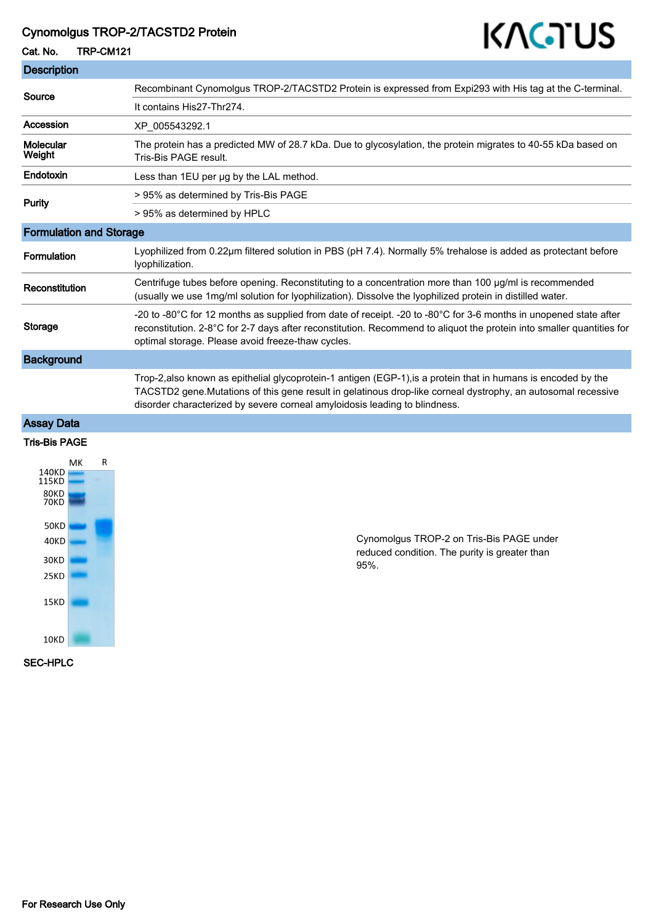### Cynomolgus TROP-2/TACSTD2 Protein

# KAGTUS

Cat. No. TRP-CM121

| <b>Description</b>             |                                                                                                                                                                                                                                                                                                               |
|--------------------------------|---------------------------------------------------------------------------------------------------------------------------------------------------------------------------------------------------------------------------------------------------------------------------------------------------------------|
| Source                         | Recombinant Cynomolgus TROP-2/TACSTD2 Protein is expressed from Expi293 with His tag at the C-terminal.                                                                                                                                                                                                       |
|                                | It contains His27-Thr274.                                                                                                                                                                                                                                                                                     |
| Accession                      | XP 005543292.1                                                                                                                                                                                                                                                                                                |
| Molecular<br>Weight            | The protein has a predicted MW of 28.7 kDa. Due to glycosylation, the protein migrates to 40-55 kDa based on<br>Tris-Bis PAGE result.                                                                                                                                                                         |
| Endotoxin                      | Less than 1EU per ug by the LAL method.                                                                                                                                                                                                                                                                       |
| <b>Purity</b>                  | > 95% as determined by Tris-Bis PAGE                                                                                                                                                                                                                                                                          |
|                                | > 95% as determined by HPLC                                                                                                                                                                                                                                                                                   |
| <b>Formulation and Storage</b> |                                                                                                                                                                                                                                                                                                               |
| Formulation                    | Lyophilized from 0.22µm filtered solution in PBS (pH 7.4). Normally 5% trehalose is added as protectant before<br>lyophilization.                                                                                                                                                                             |
| Reconstitution                 | Centrifuge tubes before opening. Reconstituting to a concentration more than 100 µg/ml is recommended<br>(usually we use 1mg/ml solution for lyophilization). Dissolve the lyophilized protein in distilled water.                                                                                            |
| <b>Storage</b>                 | -20 to -80°C for 12 months as supplied from date of receipt. -20 to -80°C for 3-6 months in unopened state after<br>reconstitution. 2-8°C for 2-7 days after reconstitution. Recommend to aliquot the protein into smaller quantities for<br>optimal storage. Please avoid freeze-thaw cycles.                |
| <b>Background</b>              |                                                                                                                                                                                                                                                                                                               |
|                                | Trop-2, also known as epithelial glycoprotein-1 antigen (EGP-1), is a protein that in humans is encoded by the<br>TACSTD2 gene. Mutations of this gene result in gelatinous drop-like corneal dystrophy, an autosomal recessive<br>disorder characterized by severe corneal amyloidosis leading to blindness. |
| <b>Assay Data</b>              |                                                                                                                                                                                                                                                                                                               |
| <b>Tris-Bis PAGE</b>           |                                                                                                                                                                                                                                                                                                               |
| R<br><b>NAK</b>                |                                                                                                                                                                                                                                                                                                               |



Cynomolgus TROP-2 on Tris-Bis PAGE under reduced condition. The purity is greater than 95%.

SEC-HPLC